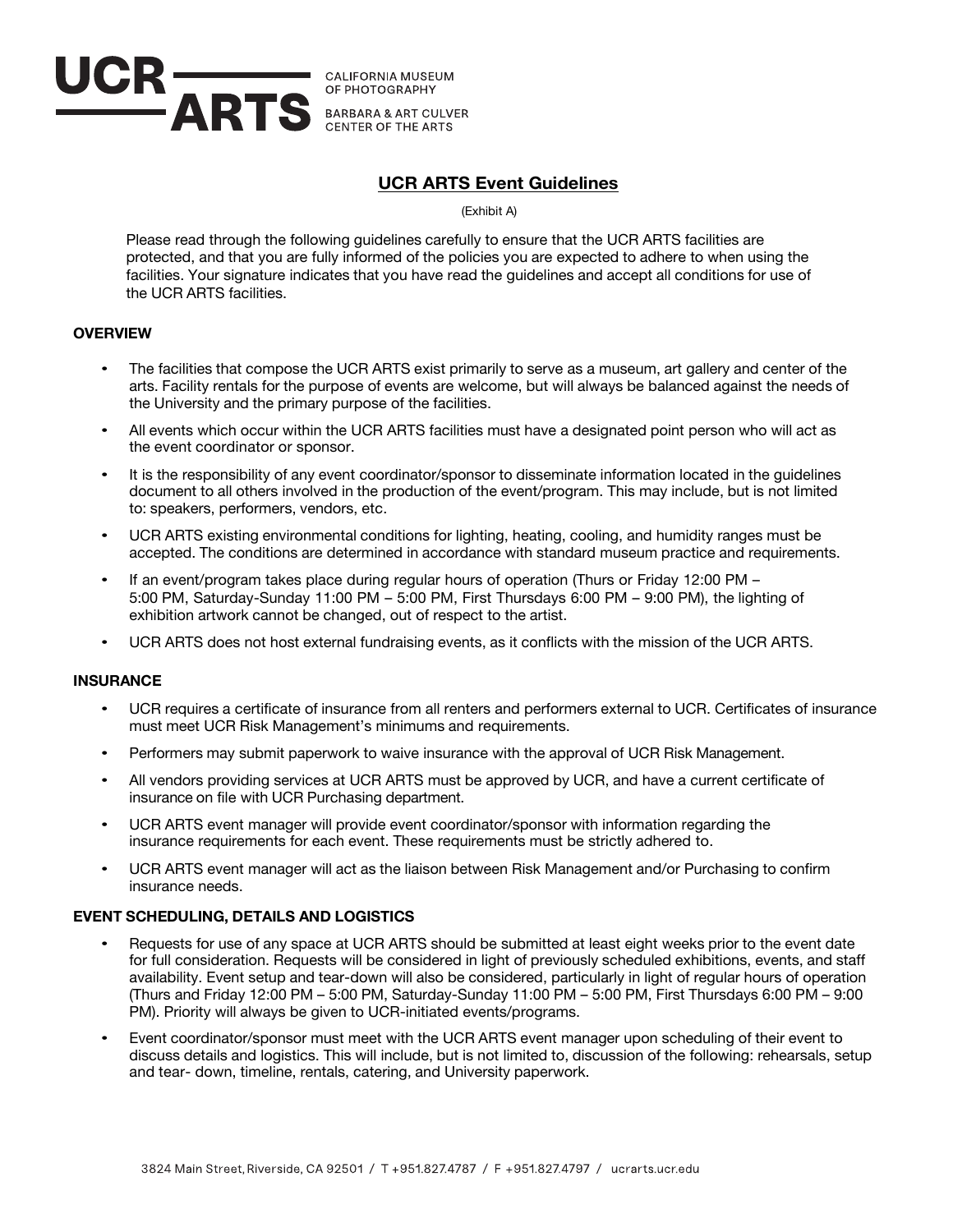

# **UCR ARTS Event Guidelines**

(Exhibit A)

Please read through the following guidelines carefully to ensure that the UCR ARTS facilities are protected, and that you are fully informed of the policies you are expected to adhere to when using the facilities. Your signature indicates that you have read the guidelines and accept all conditions for use of the UCR ARTS facilities.

## **OVERVIEW**

- The facilities that compose the UCR ARTS exist primarily to serve as a museum, art gallery and center of the arts. Facility rentals for the purpose of events are welcome, but will always be balanced against the needs of the University and the primary purpose of the facilities.
- All events which occur within the UCR ARTS facilities must have a designated point person who will act as the event coordinator or sponsor.
- It is the responsibility of any event coordinator/sponsor to disseminate information located in the guidelines document to all others involved in the production of the event/program. This may include, but is not limited to: speakers, performers, vendors, etc.
- UCR ARTS existing environmental conditions for lighting, heating, cooling, and humidity ranges must be accepted. The conditions are determined in accordance with standard museum practice and requirements.
- If an event/program takes place during regular hours of operation (Thurs or Friday 12:00 PM 5:00 PM, Saturday-Sunday 11:00 PM – 5:00 PM, First Thursdays 6:00 PM – 9:00 PM), the lighting of exhibition artwork cannot be changed, out of respect to the artist.
- UCR ARTS does not host external fundraising events, as it conflicts with the mission of the UCR ARTS.

### **INSURANCE**

- UCR requires a certificate of insurance from all renters and performers external to UCR. Certificates of insurance must meet UCR Risk Management's minimums and requirements.
- Performers may submit paperwork to waive insurance with the approval of UCR Risk Management.
- All vendors providing services at UCR ARTS must be approved by UCR, and have a current certificate of insurance on file with UCR Purchasing department.
- UCR ARTS event manager will provide event coordinator/sponsor with information regarding the insurance requirements for each event. These requirements must be strictly adhered to.
- UCR ARTS event manager will act as the liaison between Risk Management and/or Purchasing to confirm insurance needs.

### **EVENT SCHEDULING, DETAILS AND LOGISTICS**

- Requests for use of any space at UCR ARTS should be submitted at least eight weeks prior to the event date for full consideration. Requests will be considered in light of previously scheduled exhibitions, events, and staff availability. Event setup and tear-down will also be considered, particularly in light of regular hours of operation (Thurs and Friday 12:00 PM – 5:00 PM, Saturday-Sunday 11:00 PM – 5:00 PM, First Thursdays 6:00 PM – 9:00 PM). Priority will always be given to UCR-initiated events/programs.
- Event coordinator/sponsor must meet with the UCR ARTS event manager upon scheduling of their event to discuss details and logistics. This will include, but is not limited to, discussion of the following: rehearsals, setup and tear- down, timeline, rentals, catering, and University paperwork.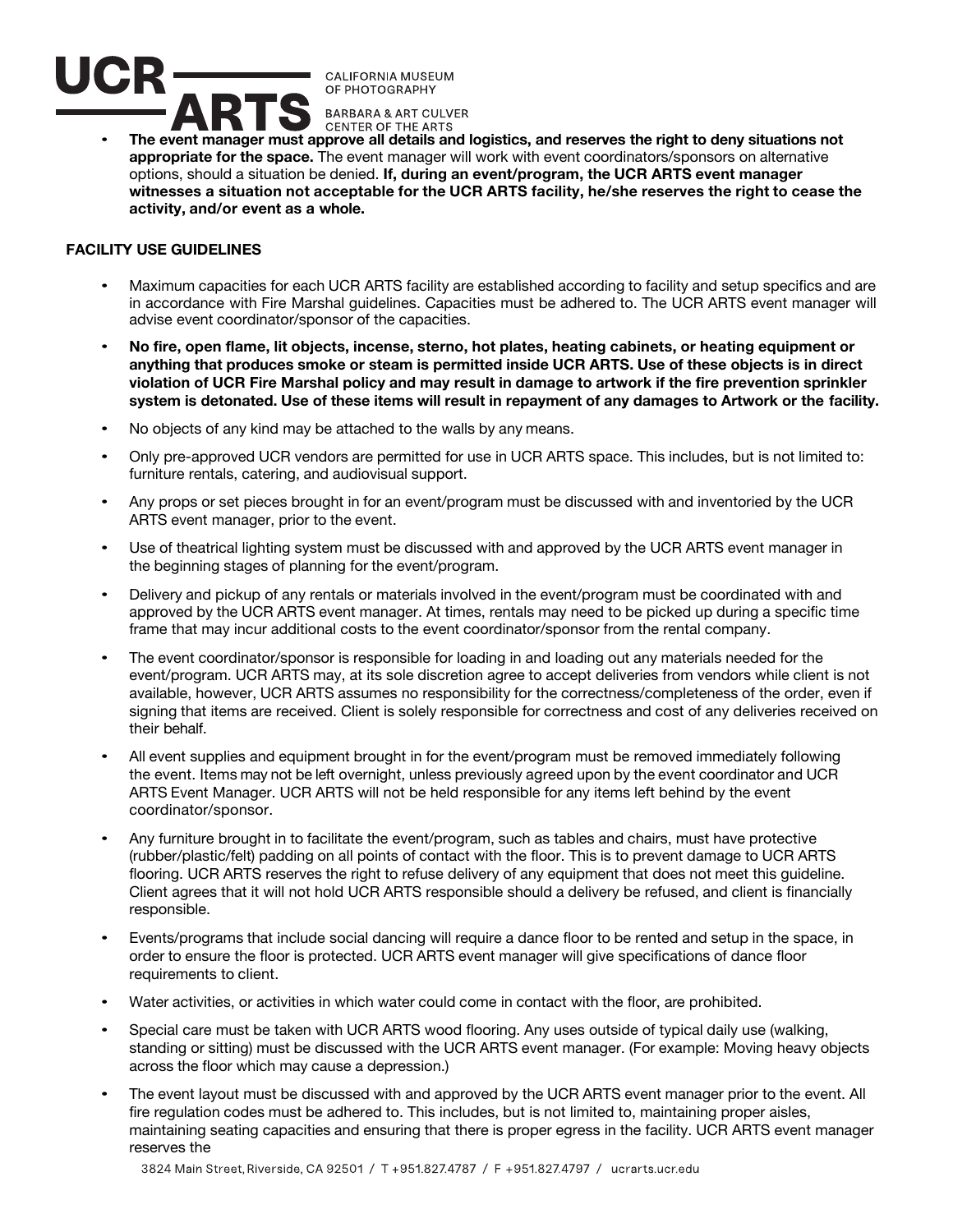

• **The event manager must approve all details and logistics, and reserves the right to deny situations not appropriate for the space.** The event manager will work with event coordinators/sponsors on alternative options, should a situation be denied. **If, during an event/program, the UCR ARTS event manager witnesses a situation not acceptable for the UCR ARTS facility, he/she reserves the right to cease the activity, and/or event as a whole.** 

# **FACILITY USE GUIDELINES**

- Maximum capacities for each UCR ARTS facility are established according to facility and setup specifics and are in accordance with Fire Marshal guidelines. Capacities must be adhered to. The UCR ARTS event manager will advise event coordinator/sponsor of the capacities.
- **No fire, open flame, lit objects, incense, sterno, hot plates, heating cabinets, or heating equipment or anything that produces smoke or steam is permitted inside UCR ARTS. Use of these objects is in direct** violation of UCR Fire Marshal policy and may result in damage to artwork if the fire prevention sprinkler **system is detonated. Use of these items will result in repayment of any damages to Artwork or the facility.**
- No objects of any kind may be attached to the walls by any means.
- Only pre-approved UCR vendors are permitted for use in UCR ARTS space. This includes, but is not limited to: furniture rentals, catering, and audiovisual support.
- Any props or set pieces brought in for an event/program must be discussed with and inventoried by the UCR ARTS event manager, prior to the event.
- Use of theatrical lighting system must be discussed with and approved by the UCR ARTS event manager in the beginning stages of planning for the event/program.
- Delivery and pickup of any rentals or materials involved in the event/program must be coordinated with and approved by the UCR ARTS event manager. At times, rentals may need to be picked up during a specific time frame that may incur additional costs to the event coordinator/sponsor from the rental company.
- The event coordinator/sponsor is responsible for loading in and loading out any materials needed for the event/program. UCR ARTS may, at its sole discretion agree to accept deliveries from vendors while client is not available, however, UCR ARTS assumes no responsibility for the correctness/completeness of the order, even if signing that items are received. Client is solely responsible for correctness and cost of any deliveries received on their behalf.
- All event supplies and equipment brought in for the event/program must be removed immediately following the event. Items may not be left overnight, unless previously agreed upon by the event coordinator and UCR ARTS Event Manager. UCR ARTS will not be held responsible for any items left behind by the event coordinator/sponsor.
- Any furniture brought in to facilitate the event/program, such as tables and chairs, must have protective (rubber/plastic/felt) padding on all points of contact with the floor. This is to prevent damage to UCR ARTS flooring. UCR ARTS reserves the right to refuse delivery of any equipment that does not meet this guideline. Client agrees that it will not hold UCR ARTS responsible should a delivery be refused, and client is financially responsible.
- Events/programs that include social dancing will require a dance floor to be rented and setup in the space, in order to ensure the floor is protected. UCR ARTS event manager will give specifications of dance floor requirements to client.
- Water activities, or activities in which water could come in contact with the floor, are prohibited.
- Special care must be taken with UCR ARTS wood flooring. Any uses outside of typical daily use (walking, standing or sitting) must be discussed with the UCR ARTS event manager. (For example: Moving heavy objects across the floor which may cause a depression.)
- The event layout must be discussed with and approved by the UCR ARTS event manager prior to the event. All fire regulation codes must be adhered to. This includes, but is not limited to, maintaining proper aisles, maintaining seating capacities and ensuring that there is proper egress in the facility. UCR ARTS event manager reserves the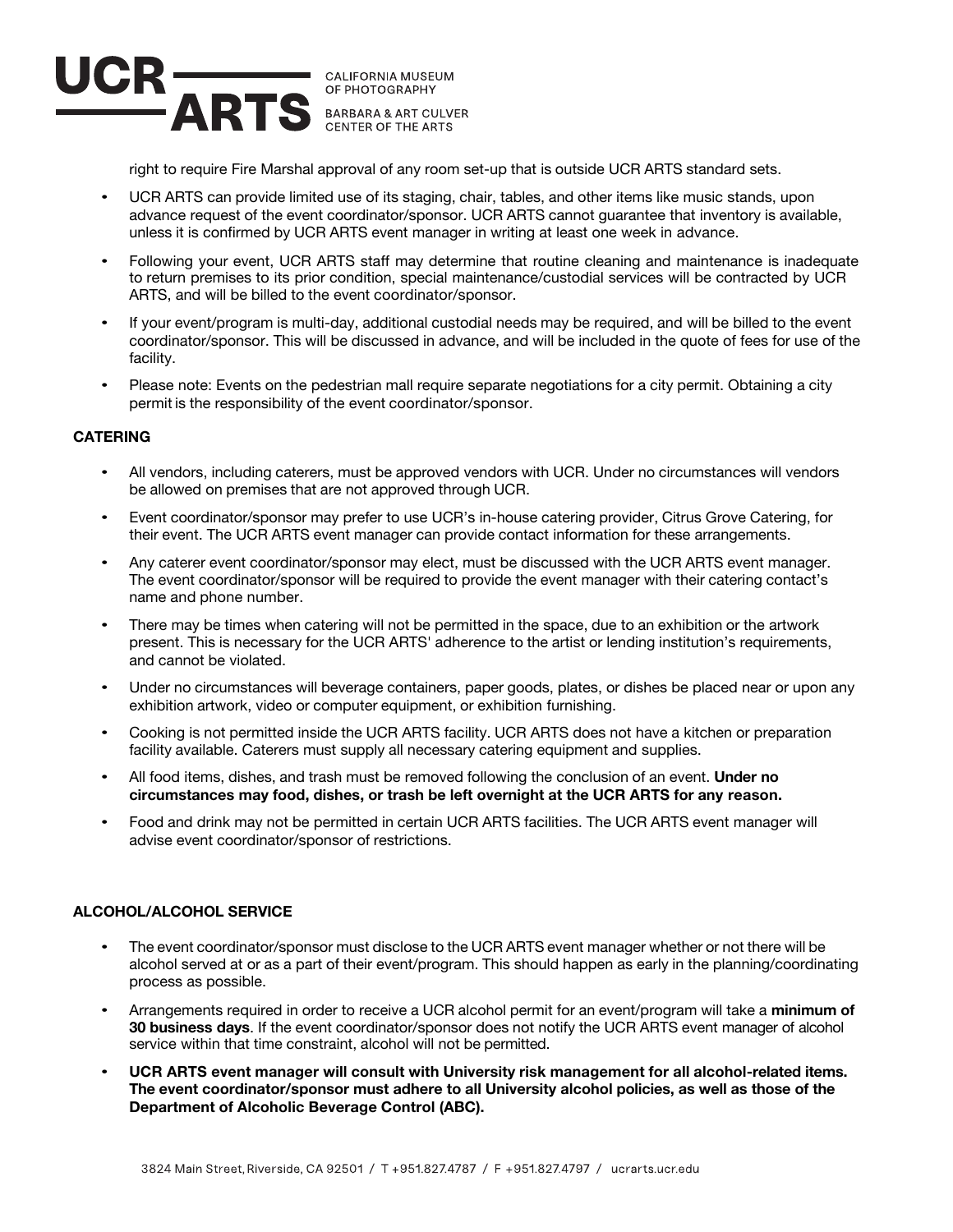

right to require Fire Marshal approval of any room set-up that is outside UCR ARTS standard sets.

- UCR ARTS can provide limited use of its staging, chair, tables, and other items like music stands, upon advance request of the event coordinator/sponsor. UCR ARTS cannot guarantee that inventory is available, unless it is confirmed by UCR ARTS event manager in writing at least one week in advance.
- Following your event, UCR ARTS staff may determine that routine cleaning and maintenance is inadequate to return premises to its prior condition, special maintenance/custodial services will be contracted by UCR ARTS, and will be billed to the event coordinator/sponsor.
- If your event/program is multi-day, additional custodial needs may be required, and will be billed to the event coordinator/sponsor. This will be discussed in advance, and will be included in the quote of fees for use of the facility.
- Please note: Events on the pedestrian mall require separate negotiations for a city permit. Obtaining a city permit is the responsibility of the event coordinator/sponsor.

## **CATERING**

- All vendors, including caterers, must be approved vendors with UCR. Under no circumstances will vendors be allowed on premises that are not approved through UCR.
- Event coordinator/sponsor may prefer to use UCR's in-house catering provider, Citrus Grove Catering, for their event. The UCR ARTS event manager can provide contact information for these arrangements.
- Any caterer event coordinator/sponsor may elect, must be discussed with the UCR ARTS event manager. The event coordinator/sponsor will be required to provide the event manager with their catering contact's name and phone number.
- There may be times when catering will not be permitted in the space, due to an exhibition or the artwork present. This is necessary for the UCR ARTS' adherence to the artist or lending institution's requirements, and cannot be violated.
- Under no circumstances will beverage containers, paper goods, plates, or dishes be placed near or upon any exhibition artwork, video or computer equipment, or exhibition furnishing.
- Cooking is not permitted inside the UCR ARTS facility. UCR ARTS does not have a kitchen or preparation facility available. Caterers must supply all necessary catering equipment and supplies.
- All food items, dishes, and trash must be removed following the conclusion of an event. **Under no circumstances may food, dishes, or trash be left overnight at the UCR ARTS for any reason.**
- Food and drink may not be permitted in certain UCR ARTS facilities. The UCR ARTS event manager will advise event coordinator/sponsor of restrictions.

### **ALCOHOL/ALCOHOL SERVICE**

- The event coordinator/sponsor must disclose to the UCR ARTS event manager whether or not there will be alcohol served at or as a part of their event/program. This should happen as early in the planning/coordinating process as possible.
- Arrangements required in order to receive a UCR alcohol permit for an event/program will take a **minimum of 30 business days**. If the event coordinator/sponsor does not notify the UCR ARTS event manager of alcohol service within that time constraint, alcohol will not be permitted.
- **UCR ARTS event manager will consult with University risk management for all alcohol-related items. The event coordinator/sponsor must adhere to all University alcohol policies, as well as those of the Department of Alcoholic Beverage Control (ABC).**